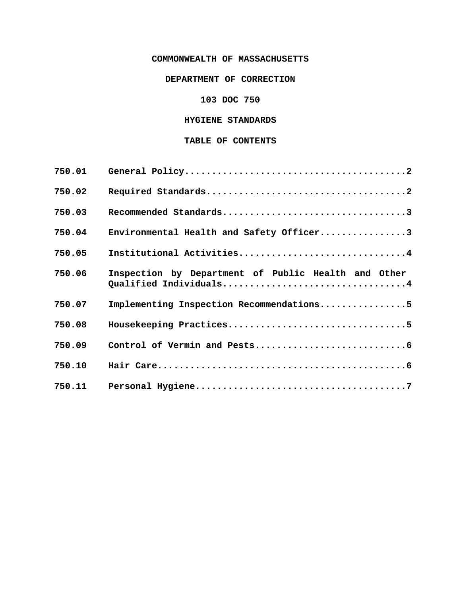# **COMMONWEALTH OF MASSACHUSETTS**

# **DEPARTMENT OF CORRECTION**

# **103 DOC 750**

# **HYGIENE STANDARDS**

# **TABLE OF CONTENTS**

| 750.01 |                                                                               |
|--------|-------------------------------------------------------------------------------|
| 750.02 |                                                                               |
| 750.03 |                                                                               |
| 750.04 | Environmental Health and Safety Officer3                                      |
| 750.05 | Institutional Activities4                                                     |
| 750.06 | Inspection by Department of Public Health and Other<br>Qualified Individuals4 |
| 750.07 | Implementing Inspection Recommendations5                                      |
| 750.08 |                                                                               |
| 750.09 |                                                                               |
| 750.10 |                                                                               |
| 750.11 |                                                                               |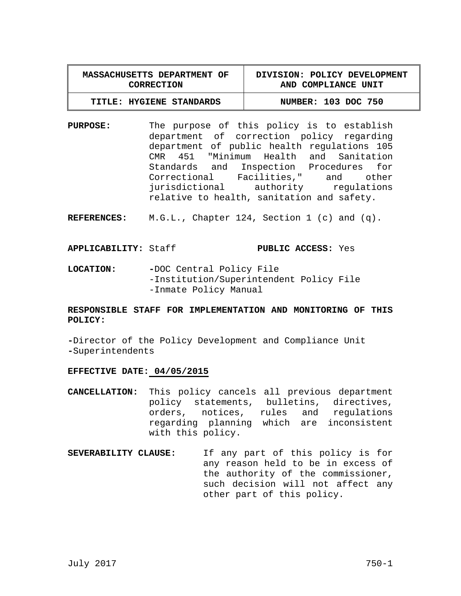| <b>MASSACHUSETTS DEPARTMENT OF</b> | DIVISION: POLICY DEVELOPMENT |
|------------------------------------|------------------------------|
| CORRECTION                         | AND COMPLIANCE UNIT          |
| TITLE: HYGIENE STANDARDS           | NUMBER: 103 DOC 750          |

**PURPOSE:** The purpose of this policy is to establish department of correction policy regarding department of public health regulations 105 CMR 451 "Minimum Health and Sanitation Standards and Inspection Procedures for Correctional Facilities," and other jurisdictional authority regulations relative to health, sanitation and safety.

**REFERENCES:** M.G.L., Chapter 124, Section 1 (c) and (q).

### **APPLICABILITY:** Staff **PUBLIC ACCESS:** Yes

**LOCATION: -**DOC Central Policy File -Institution/Superintendent Policy File -Inmate Policy Manual

# **RESPONSIBLE STAFF FOR IMPLEMENTATION AND MONITORING OF THIS POLICY:**

**-**Director of the Policy Development and Compliance Unit **-**Superintendents

### **EFFECTIVE DATE: 04/05/2015**

- **CANCELLATION:** This policy cancels all previous department policy statements, bulletins, directives, orders, notices, rules and regulations regarding planning which are inconsistent with this policy.
- **SEVERABILITY CLAUSE:** If any part of this policy is for any reason held to be in excess of the authority of the commissioner, such decision will not affect any other part of this policy.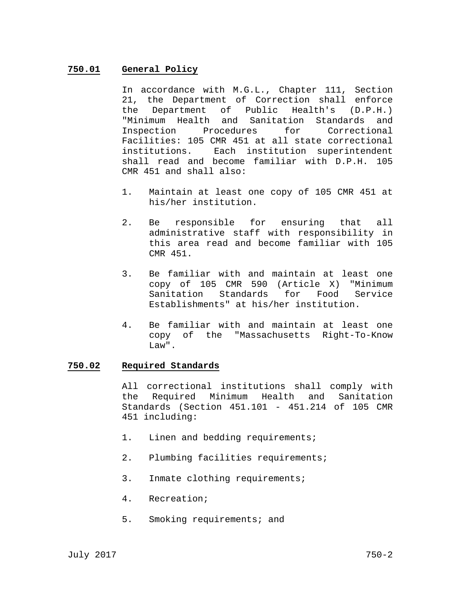# **750.01 General Policy**

In accordance with M.G.L., Chapter 111, Section 21, the Department of Correction shall enforce the Department of Public Health's (D.P.H.) "Minimum Health and Sanitation Standards and Inspection Procedures for Correctional Facilities: 105 CMR 451 at all state correctional institutions. Each institution superintendent shall read and become familiar with D.P.H. 105 CMR 451 and shall also:

- 1. Maintain at least one copy of 105 CMR 451 at his/her institution.
- 2. Be responsible for ensuring that all administrative staff with responsibility in this area read and become familiar with 105 CMR 451.
- 3. Be familiar with and maintain at least one copy of 105 CMR 590 (Article X) "Minimum Sanitation Standards for Food Service Establishments" at his/her institution.
- 4. Be familiar with and maintain at least one copy of the "Massachusetts Right-To-Know T<sub>r</sub>aw".

### **750.02 Required Standards**

All correctional institutions shall comply with the Required Minimum Health and Sanitation Standards (Section 451.101 - 451.214 of 105 CMR 451 including:

- 1. Linen and bedding requirements;
- 2. Plumbing facilities requirements;
- 3. Inmate clothing requirements;
- 4. Recreation;
- 5. Smoking requirements; and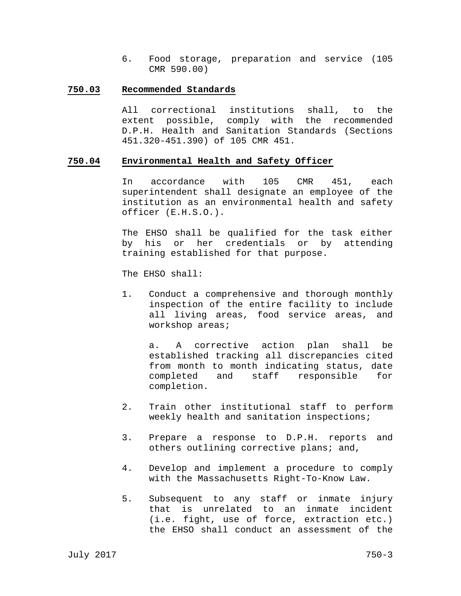6. Food storage, preparation and service (105 CMR 590.00)

#### **750.03 Recommended Standards**

All correctional institutions shall, to the extent possible, comply with the recommended D.P.H. Health and Sanitation Standards (Sections 451.320-451.390) of 105 CMR 451.

### **750.04 Environmental Health and Safety Officer**

In accordance with 105 CMR 451, each superintendent shall designate an employee of the institution as an environmental health and safety officer (E.H.S.O.).

The EHSO shall be qualified for the task either by his or her credentials or by attending training established for that purpose.

The EHSO shall:

1. Conduct a comprehensive and thorough monthly inspection of the entire facility to include all living areas, food service areas, and workshop areas;

 a. A corrective action plan shall be established tracking all discrepancies cited from month to month indicating status, date completed and staff responsible for completion.

- 2. Train other institutional staff to perform weekly health and sanitation inspections;
- 3. Prepare a response to D.P.H. reports and others outlining corrective plans; and,
- 4. Develop and implement a procedure to comply with the Massachusetts Right-To-Know Law.
- 5. Subsequent to any staff or inmate injury that is unrelated to an inmate incident (i.e. fight, use of force, extraction etc.) the EHSO shall conduct an assessment of the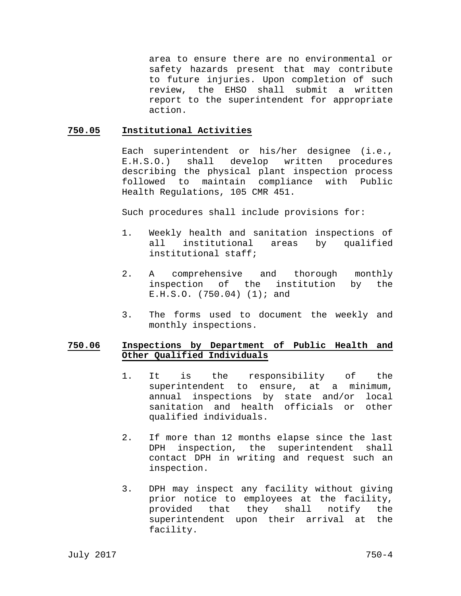area to ensure there are no environmental or safety hazards present that may contribute to future injuries. Upon completion of such review, the EHSO shall submit a written report to the superintendent for appropriate action.

## **750.05 Institutional Activities**

Each superintendent or his/her designee (i.e., E.H.S.O.) shall develop written procedures describing the physical plant inspection process followed to maintain compliance with Public Health Regulations, 105 CMR 451.

Such procedures shall include provisions for:

- 1. Weekly health and sanitation inspections of all institutional areas by qualified institutional staff;
- 2. A comprehensive and thorough monthly inspection of the institution by the E.H.S.O. (750.04) (1); and
- 3. The forms used to document the weekly and monthly inspections.

# **750.06 Inspections by Department of Public Health and Other Qualified Individuals**

- 1. It is the responsibility of the superintendent to ensure, at a minimum, annual inspections by state and/or local sanitation and health officials or other qualified individuals.
- 2. If more than 12 months elapse since the last DPH inspection, the superintendent shall contact DPH in writing and request such an inspection.
- 3. DPH may inspect any facility without giving prior notice to employees at the facility, provided that they shall notify the superintendent upon their arrival at the facility.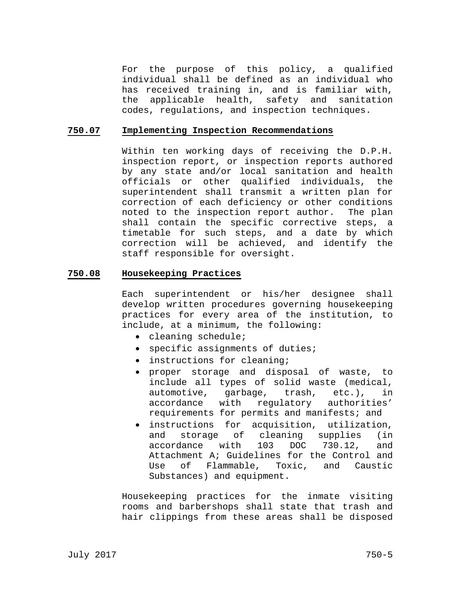For the purpose of this policy, a qualified individual shall be defined as an individual who has received training in, and is familiar with, the applicable health, safety and sanitation codes, regulations, and inspection techniques.

### **750.07 Implementing Inspection Recommendations**

Within ten working days of receiving the D.P.H. inspection report, or inspection reports authored by any state and/or local sanitation and health officials or other qualified individuals, the superintendent shall transmit a written plan for correction of each deficiency or other conditions noted to the inspection report author. The plan shall contain the specific corrective steps, a timetable for such steps, and a date by which correction will be achieved, and identify the staff responsible for oversight.

### **750.08 Housekeeping Practices**

Each superintendent or his/her designee shall develop written procedures governing housekeeping practices for every area of the institution, to include, at a minimum, the following:

- cleaning schedule;
- specific assignments of duties;
- instructions for cleaning;
- proper storage and disposal of waste, to include all types of solid waste (medical, automotive, garbage, trash, etc.), in accordance with regulatory authorities' requirements for permits and manifests; and
- instructions for acquisition, utilization, and storage of cleaning supplies (in accordance with 103 DOC 730.12, and accordance with 103 DOC 730.12, and Attachment A; Guidelines for the Control and Use of Flammable, Toxic, and Caustic Substances) and equipment.

Housekeeping practices for the inmate visiting rooms and barbershops shall state that trash and hair clippings from these areas shall be disposed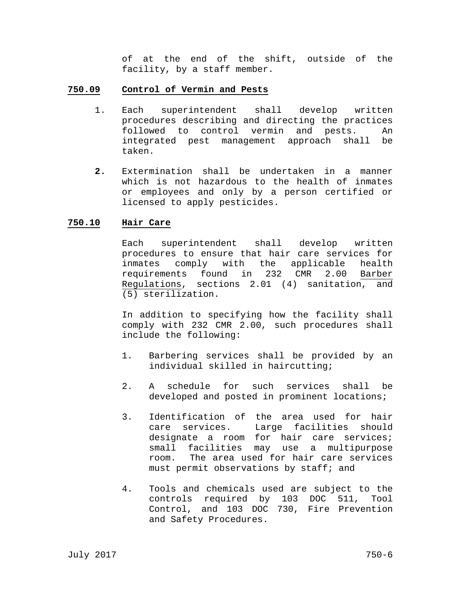of at the end of the shift, outside of the facility, by a staff member.

### **750.09 Control of Vermin and Pests**

- 1. Each superintendent shall develop written procedures describing and directing the practices followed to control vermin and pests. An integrated pest management approach shall be taken.
- **2.** Extermination shall be undertaken in a manner which is not hazardous to the health of inmates or employees and only by a person certified or licensed to apply pesticides.

# **750.10 Hair Care**

Each superintendent shall develop written procedures to ensure that hair care services for inmates comply with the applicable health requirements found in 232 CMR 2.00 Barber Regulations, sections 2.01 (4) sanitation, and (5) sterilization.

In addition to specifying how the facility shall comply with 232 CMR 2.00, such procedures shall include the following:

- 1. Barbering services shall be provided by an individual skilled in haircutting;
- 2. A schedule for such services shall be developed and posted in prominent locations;
- 3. Identification of the area used for hair care services. Large facilities should designate a room for hair care services; small facilities may use a multipurpose room. The area used for hair care services must permit observations by staff; and
- 4. Tools and chemicals used are subject to the controls required by 103 DOC 511, Tool Control, and 103 DOC 730, Fire Prevention and Safety Procedures.